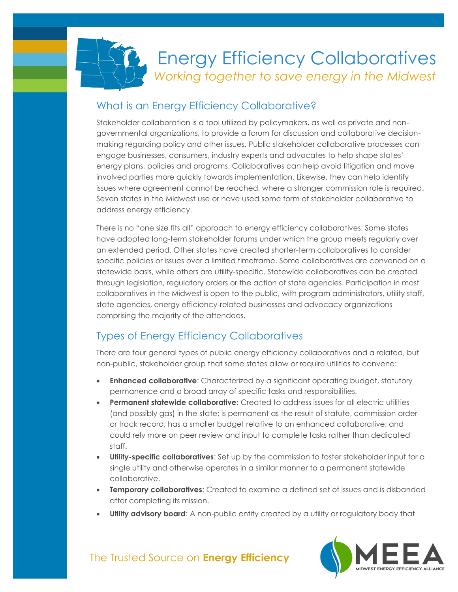

#### What is an Energy Efficiency Collaborative?

Stakeholder collaboration is a tool utilized by policymakers, as well as private and nongovernmental organizations, to provide a forum for discussion and collaborative decisionmaking regarding policy and other issues. Public stakeholder collaborative processes can engage businesses, consumers, industry experts and advocates to help shape states' energy plans, policies and programs. Collaboratives can help avoid litigation and move involved parties more quickly towards implementation. Likewise, they can help identify issues where agreement cannot be reached, where a stronger commission role is required. Seven states in the Midwest use or have used some form of stakeholder collaborative to address energy efficiency.

There is no "one size fits all" approach to energy efficiency collaboratives. Some states have adopted long-term stakeholder forums under which the group meets regularly over an extended period. Other states have created shorter-term collaboratives to consider specific policies or issues over a limited timeframe. Some collaboratives are convened on a statewide basis, while others are utility-specific. Statewide collaboratives can be created through legislation, regulatory orders or the action of state agencies. Participation in most collaboratives in the Midwest is open to the public, with program administrators, utility staff, state agencies, energy efficiency-related businesses and advocacy organizations comprising the majority of the attendees.

#### Types of Energy Efficiency Collaboratives

There are four general types of public energy efficiency collaboratives and a related, but non-public, stakeholder group that some states allow or require utilities to convene:

- **Enhanced collaborative**: Characterized by a significant operating budget, statutory permanence and a broad array of specific tasks and responsibilities.
- **Permanent statewide collaborative**: Created to address issues for all electric utilities (and possibly gas) in the state; is permanent as the result of statute, commission order or track record; has a smaller budget relative to an enhanced collaborative; and could rely more on peer review and input to complete tasks rather than dedicated staff.
- **Utility-specific collaboratives**: Set up by the commission to foster stakeholder input for a single utility and otherwise operates in a similar manner to a permanent statewide collaborative.
- **Temporary collaboratives**: Created to examine a defined set of issues and is disbanded after completing its mission.
- **Utility advisory board:** A non-public entity created by a utility or regulatory body that

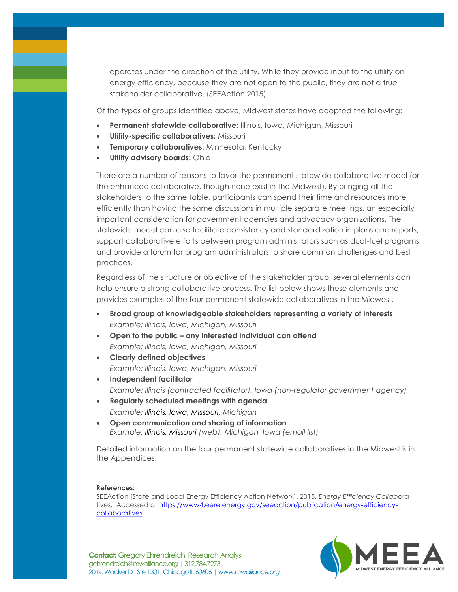operates under the direction of the utility. While they provide input to the utility on energy efficiency, because they are not open to the public, they are not a true stakeholder collaborative. (SEEAction 2015)

Of the types of groups identified above, Midwest states have adopted the following:

- **Permanent statewide collaborative:** Illinois, Iowa, Michigan, Missouri
- **Utility-specific collaboratives:** Missouri
- **Temporary collaboratives: Minnesota, Kentucky**
- **Utility advisory boards:** Ohio

There are a number of reasons to favor the permanent statewide collaborative model (or the enhanced collaborative, though none exist in the Midwest). By bringing all the stakeholders to the same table, participants can spend their time and resources more efficiently than having the same discussions in multiple separate meetings, an especially important consideration for government agencies and advocacy organizations. The statewide model can also facilitate consistency and standardization in plans and reports, support collaborative efforts between program administrators such as dual-fuel programs, and provide a forum for program administrators to share common challenges and best practices.

Regardless of the structure or objective of the stakeholder group, several elements can help ensure a strong collaborative process. The list below shows these elements and provides examples of the four permanent statewide collaboratives in the Midwest.

- **Broad group of knowledgeable stakeholders representing a variety of interests** *Example: Illinois, Iowa, Michigan, Missouri*
- **Open to the public – any interested individual can attend** *Example: Illinois, Iowa, Michigan, Missouri*
- **Clearly defined objectives** *Example: Illinois, Iowa, Michigan, Missouri* **Independent facilitator**
- *Example: Illinois (contracted facilitator), Iowa (non-regulator government agency)*
- **Regularly scheduled meetings with agenda** *Example: Illinois, Iowa, Missouri, Michigan*
- **Open communication and sharing of information** *Example: Illinois, Missouri (web), Michigan, Iowa (email list)*

Detailed information on the four permanent statewide collaboratives in the Midwest is in the Appendices.

#### **References:**

SEEAction [State and Local Energy Efficiency Action Network]. 2015. *Energy Efficiency Collab*oratives. Accessed at [https://www4.eere.energy.gov/seeaction/publication/energy-efficiency](https://www4.eere.energy.gov/seeaction/publication/energy-efficiency-collaboratives)[collaboratives](https://www4.eere.energy.gov/seeaction/publication/energy-efficiency-collaboratives)

**Contact:** Gregory Ehrendreich, Research Analyst<br>sebregskich@rauglianese.crg | 213.784.7272 gehrendreich@mwalliance.org | 312.784.7273 20 N. Wacker Dr. Ste 1301, Chicago IL 60606 **|** *www.mwalliance.org*

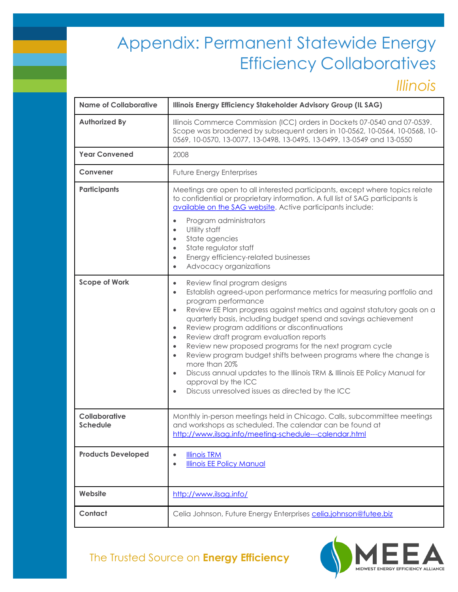*Illinois*

| <b>Name of Collaborative</b>     | Illinois Energy Efficiency Stakeholder Advisory Group (IL SAG)                                                                                                                                                                                                                                                                                                                                                                                                                                                                                                                                                                                                                                                                                                                                        |
|----------------------------------|-------------------------------------------------------------------------------------------------------------------------------------------------------------------------------------------------------------------------------------------------------------------------------------------------------------------------------------------------------------------------------------------------------------------------------------------------------------------------------------------------------------------------------------------------------------------------------------------------------------------------------------------------------------------------------------------------------------------------------------------------------------------------------------------------------|
| <b>Authorized By</b>             | Illinois Commerce Commission (ICC) orders in Dockets 07-0540 and 07-0539.<br>Scope was broadened by subsequent orders in 10-0562, 10-0564, 10-0568, 10-<br>0569, 10-0570, 13-0077, 13-0498, 13-0495, 13-0499, 13-0549 and 13-0550                                                                                                                                                                                                                                                                                                                                                                                                                                                                                                                                                                     |
| <b>Year Convened</b>             | 2008                                                                                                                                                                                                                                                                                                                                                                                                                                                                                                                                                                                                                                                                                                                                                                                                  |
| Convener                         | <b>Future Energy Enterprises</b>                                                                                                                                                                                                                                                                                                                                                                                                                                                                                                                                                                                                                                                                                                                                                                      |
| Participants                     | Meetings are open to all interested participants, except where topics relate<br>to confidential or proprietary information. A full list of SAG participants is<br>available on the SAG website. Active participants include:<br>Program administrators<br>$\bullet$<br>Utility staff<br>$\bullet$<br>State agencies<br>$\bullet$<br>State regulator staff<br>$\bullet$<br>Energy efficiency-related businesses<br>$\bullet$<br>Advocacy organizations<br>$\bullet$                                                                                                                                                                                                                                                                                                                                    |
| <b>Scope of Work</b>             | Review final program designs<br>$\bullet$<br>Establish agreed-upon performance metrics for measuring portfolio and<br>$\bullet$<br>program performance<br>Review EE Plan progress against metrics and against statutory goals on a<br>$\bullet$<br>quarterly basis, including budget spend and savings achievement<br>Review program additions or discontinuations<br>$\bullet$<br>Review draft program evaluation reports<br>$\bullet$<br>Review new proposed programs for the next program cycle<br>$\bullet$<br>Review program budget shifts between programs where the change is<br>$\bullet$<br>more than 20%<br>Discuss annual updates to the Illinois TRM & Illinois EE Policy Manual for<br>$\bullet$<br>approval by the ICC<br>Discuss unresolved issues as directed by the ICC<br>$\bullet$ |
| Collaborative<br><b>Schedule</b> | Monthly in-person meetings held in Chicago. Calls, subcommittee meetings<br>and workshops as scheduled. The calendar can be found at<br>http://www.ilsag.info/meeting-schedule---calendar.html                                                                                                                                                                                                                                                                                                                                                                                                                                                                                                                                                                                                        |
| <b>Products Developed</b>        | <b>Illinois TRM</b><br>$\bullet$<br><b>Illinois EE Policy Manual</b><br>$\bullet$                                                                                                                                                                                                                                                                                                                                                                                                                                                                                                                                                                                                                                                                                                                     |
| Website                          | http://www.ilsag.info/                                                                                                                                                                                                                                                                                                                                                                                                                                                                                                                                                                                                                                                                                                                                                                                |
| Contact                          | Celia Johnson, Future Energy Enterprises celia.johnson@futee.biz                                                                                                                                                                                                                                                                                                                                                                                                                                                                                                                                                                                                                                                                                                                                      |

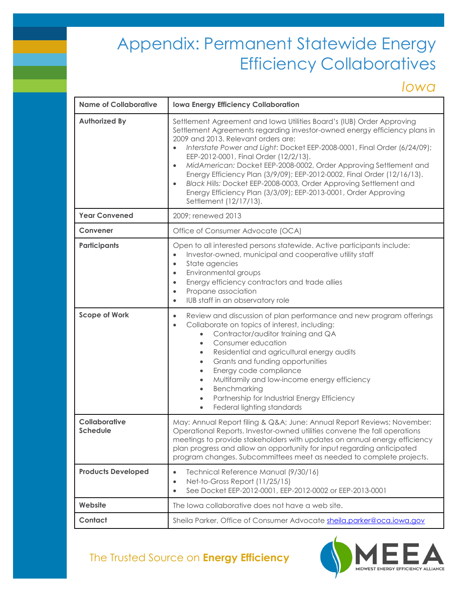*Iowa*

| <b>Name of Collaborative</b>     | <b>Iowa Energy Efficiency Collaboration</b>                                                                                                                                                                                                                                                                                                                                                                                                                                                                                                                                                                                                                |
|----------------------------------|------------------------------------------------------------------------------------------------------------------------------------------------------------------------------------------------------------------------------------------------------------------------------------------------------------------------------------------------------------------------------------------------------------------------------------------------------------------------------------------------------------------------------------------------------------------------------------------------------------------------------------------------------------|
| <b>Authorized By</b>             | Settlement Agreement and Iowa Utilities Board's (IUB) Order Approving<br>Settlement Agreements regarding investor-owned energy efficiency plans in<br>2009 and 2013. Relevant orders are:<br>Interstate Power and Light: Docket EEP-2008-0001, Final Order (6/24/09);<br>EEP-2012-0001, Final Order (12/2/13).<br>MidAmerican: Docket EEP-2008-0002, Order Approving Settlement and<br>$\bullet$<br>Energy Efficiency Plan (3/9/09); EEP-2012-0002, Final Order (12/16/13).<br>Black Hills: Docket EEP-2008-0003, Order Approving Settlement and<br>$\bullet$<br>Energy Efficiency Plan (3/3/09); EEP-2013-0001, Order Approving<br>Settlement (12/17/13). |
| <b>Year Convened</b>             | 2009; renewed 2013                                                                                                                                                                                                                                                                                                                                                                                                                                                                                                                                                                                                                                         |
| Convener                         | Office of Consumer Advocate (OCA)                                                                                                                                                                                                                                                                                                                                                                                                                                                                                                                                                                                                                          |
| <b>Participants</b>              | Open to all interested persons statewide. Active participants include:<br>Investor-owned, municipal and cooperative utility staff<br>State agencies<br>$\bullet$<br>Environmental groups<br>$\bullet$<br>Energy efficiency contractors and trade allies<br>$\bullet$<br>Propane association<br>$\bullet$<br>IUB staff in an observatory role<br>$\bullet$                                                                                                                                                                                                                                                                                                  |
| <b>Scope of Work</b>             | Review and discussion of plan performance and new program offerings<br>$\bullet$<br>Collaborate on topics of interest, including:<br>$\bullet$<br>Contractor/auditor training and QA<br>$\bullet$<br>Consumer education<br>$\bullet$<br>Residential and agricultural energy audits<br>$\bullet$<br>Grants and funding opportunities<br>$\bullet$<br>Energy code compliance<br>$\bullet$<br>Multifamily and low-income energy efficiency<br>$\bullet$<br>Benchmarking<br>Partnership for Industrial Energy Efficiency<br>Federal lighting standards<br>$\bullet$                                                                                            |
| Collaborative<br><b>Schedule</b> | May: Annual Report filing & Q&A June: Annual Report Reviews; November:<br>Operational Reports. Investor-owned utilities convene the fall operations<br>meetings to provide stakeholders with updates on annual energy efficiency<br>plan progress and allow an opportunity for input regarding anticipated<br>program changes. Subcommittees meet as needed to complete projects.                                                                                                                                                                                                                                                                          |
| <b>Products Developed</b>        | Technical Reference Manual (9/30/16)<br>$\bullet$<br>Net-to-Gross Report (11/25/15)<br>$\bullet$<br>See Docket EEP-2012-0001, EEP-2012-0002 or EEP-2013-0001<br>$\bullet$                                                                                                                                                                                                                                                                                                                                                                                                                                                                                  |
| Website                          | The lowa collaborative does not have a web site.                                                                                                                                                                                                                                                                                                                                                                                                                                                                                                                                                                                                           |
| Contact                          | Sheila Parker, Office of Consumer Advocate sheila.parker@oca.iowa.gov                                                                                                                                                                                                                                                                                                                                                                                                                                                                                                                                                                                      |

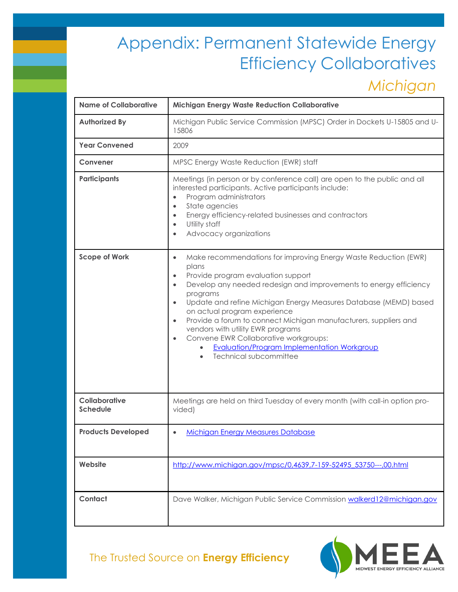## *Michigan*

| <b>Name of Collaborative</b>            | <b>Michigan Energy Waste Reduction Collaborative</b>                                                                                                                                                                                                                                                                                                                                                                                                                                                                                                                                                                                   |
|-----------------------------------------|----------------------------------------------------------------------------------------------------------------------------------------------------------------------------------------------------------------------------------------------------------------------------------------------------------------------------------------------------------------------------------------------------------------------------------------------------------------------------------------------------------------------------------------------------------------------------------------------------------------------------------------|
| <b>Authorized By</b>                    | Michigan Public Service Commission (MPSC) Order in Dockets U-15805 and U-<br>15806                                                                                                                                                                                                                                                                                                                                                                                                                                                                                                                                                     |
| <b>Year Convened</b>                    | 2009                                                                                                                                                                                                                                                                                                                                                                                                                                                                                                                                                                                                                                   |
| Convener                                | MPSC Energy Waste Reduction (EWR) staff                                                                                                                                                                                                                                                                                                                                                                                                                                                                                                                                                                                                |
| <b>Participants</b>                     | Meetings (in person or by conference call) are open to the public and all<br>interested participants. Active participants include:<br>Program administrators<br>$\bullet$<br>State agencies<br>$\bullet$<br>Energy efficiency-related businesses and contractors<br>$\bullet$<br>Utility staff<br>$\bullet$<br>Advocacy organizations<br>$\bullet$                                                                                                                                                                                                                                                                                     |
| <b>Scope of Work</b>                    | Make recommendations for improving Energy Waste Reduction (EWR)<br>$\bullet$<br>plans<br>Provide program evaluation support<br>$\bullet$<br>Develop any needed redesign and improvements to energy efficiency<br>$\bullet$<br>programs<br>Update and refine Michigan Energy Measures Database (MEMD) based<br>$\bullet$<br>on actual program experience<br>Provide a forum to connect Michigan manufacturers, suppliers and<br>$\bullet$<br>vendors with utility EWR programs<br>Convene EWR Collaborative workgroups:<br>$\bullet$<br>Evaluation/Program Implementation Workgroup<br>$\bullet$<br>Technical subcommittee<br>$\bullet$ |
| <b>Collaborative</b><br><b>Schedule</b> | Meetings are held on third Tuesday of every month (with call-in option pro-<br>vided)                                                                                                                                                                                                                                                                                                                                                                                                                                                                                                                                                  |
| <b>Products Developed</b>               | <b>Michigan Energy Measures Database</b>                                                                                                                                                                                                                                                                                                                                                                                                                                                                                                                                                                                               |
| Website                                 | http://www.michigan.gov/mpsc/0,4639,7-159-52495_53750---,00.html                                                                                                                                                                                                                                                                                                                                                                                                                                                                                                                                                                       |
| Contact                                 | Dave Walker, Michigan Public Service Commission walkerd12@michigan.gov                                                                                                                                                                                                                                                                                                                                                                                                                                                                                                                                                                 |